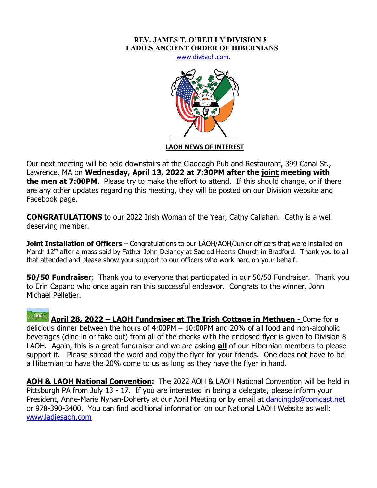## **REV. JAMES T. O'REILLY DIVISION 8 LADIES ANCIENT ORDER OF HIBERNIANS**

www.div8aoh.com.



## **LAOH NEWS OF INTEREST**

Our next meeting will be held downstairs at the Claddagh Pub and Restaurant, 399 Canal St., Lawrence, MA on **Wednesday, April 13, 2022 at 7:30PM after the joint meeting with the men at 7:00PM**. Please try to make the effort to attend. If this should change, or if there are any other updates regarding this meeting, they will be posted on our Division website and Facebook page.

**CONGRATULATIONS** to our 2022 Irish Woman of the Year, Cathy Callahan. Cathy is a well deserving member.

**Joint Installation of Officers** – Congratulations to our LAOH/AOH/Junior officers that were installed on March 12<sup>th</sup> after a mass said by Father John Delaney at Sacred Hearts Church in Bradford. Thank you to all that attended and please show your support to our officers who work hard on your behalf.

**50/50 Fundraiser**: Thank you to everyone that participated in our 50/50 Fundraiser. Thank you to Erin Capano who once again ran this successful endeavor. Congrats to the winner, John Michael Pelletier.

**April 28, 2022 – LAOH Fundraiser at The Irish Cottage in Methuen -** Come for a delicious dinner between the hours of 4:00PM – 10:00PM and 20% of all food and non-alcoholic beverages (dine in or take out) from all of the checks with the enclosed flyer is given to Division 8 LAOH. Again, this is a great fundraiser and we are asking **all** of our Hibernian members to please support it. Please spread the word and copy the flyer for your friends. One does not have to be a Hibernian to have the 20% come to us as long as they have the flyer in hand.

**AOH & LAOH National Convention:** The 2022 AOH & LAOH National Convention will be held in Pittsburgh PA from July 13 - 17. If you are interested in being a delegate, please inform your President, Anne-Marie Nyhan-Doherty at our April Meeting or by email at dancingds@comcast.net or 978-390-3400. You can find additional information on our National LAOH Website as well: www.ladiesaoh.com